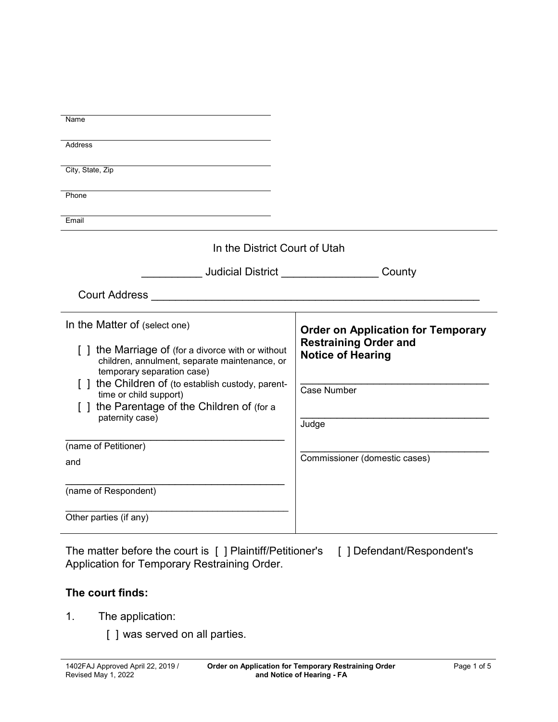| Name                                                                                                                             |                                                          |
|----------------------------------------------------------------------------------------------------------------------------------|----------------------------------------------------------|
|                                                                                                                                  |                                                          |
| Address                                                                                                                          |                                                          |
| City, State, Zip                                                                                                                 |                                                          |
|                                                                                                                                  |                                                          |
| Phone                                                                                                                            |                                                          |
|                                                                                                                                  |                                                          |
| Email                                                                                                                            |                                                          |
| In the District Court of Utah                                                                                                    |                                                          |
| ______________Judicial District _____________________County                                                                      |                                                          |
|                                                                                                                                  |                                                          |
| In the Matter of (select one)                                                                                                    | <b>Order on Application for Temporary</b>                |
| [] the Marriage of (for a divorce with or without<br>children, annulment, separate maintenance, or<br>temporary separation case) | <b>Restraining Order and</b><br><b>Notice of Hearing</b> |
| [] the Children of (to establish custody, parent-                                                                                |                                                          |
| time or child support)                                                                                                           | Case Number                                              |
| [] the Parentage of the Children of (for a                                                                                       |                                                          |
| paternity case)                                                                                                                  | Judge                                                    |
| (name of Petitioner)                                                                                                             |                                                          |
| and                                                                                                                              | Commissioner (domestic cases)                            |
|                                                                                                                                  |                                                          |
| (name of Respondent)                                                                                                             |                                                          |
|                                                                                                                                  |                                                          |
| Other parties (if any)                                                                                                           |                                                          |
|                                                                                                                                  |                                                          |

The matter before the court is [ ] Plaintiff/Petitioner's [ ] Defendant/Respondent's Application for Temporary Restraining Order.

## **The court finds:**

- 1. The application:
	- [ ] was served on all parties.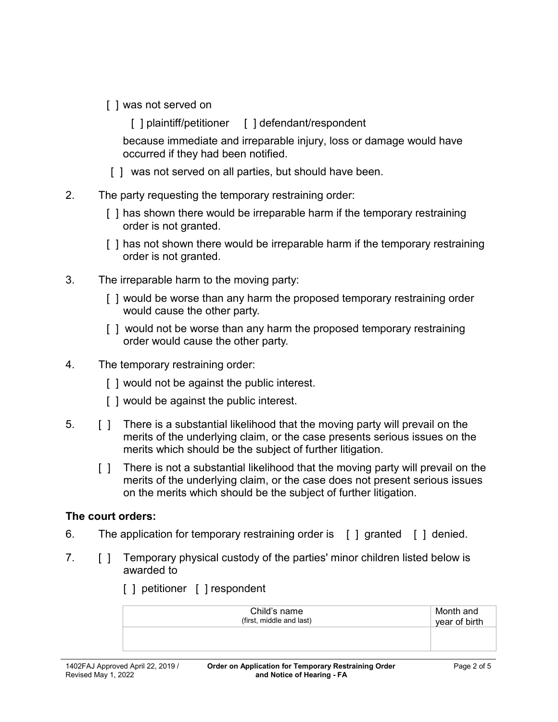- [ ] was not served on
	- [ ] plaintiff/petitioner [ ] defendant/respondent

because immediate and irreparable injury, loss or damage would have occurred if they had been notified.

- [ ] was not served on all parties, but should have been.
- 2. The party requesting the temporary restraining order:
	- [ ] has shown there would be irreparable harm if the temporary restraining order is not granted.
	- [] has not shown there would be irreparable harm if the temporary restraining order is not granted.
- 3. The irreparable harm to the moving party:
	- [ ] would be worse than any harm the proposed temporary restraining order would cause the other party.
	- [ ] would not be worse than any harm the proposed temporary restraining order would cause the other party.
- 4. The temporary restraining order:
	- [ ] would not be against the public interest.
	- [] would be against the public interest.
- 5. [ ] There is a substantial likelihood that the moving party will prevail on the merits of the underlying claim, or the case presents serious issues on the merits which should be the subject of further litigation.
	- [ ] There is not a substantial likelihood that the moving party will prevail on the merits of the underlying claim, or the case does not present serious issues on the merits which should be the subject of further litigation.

## **The court orders:**

- 6. The application for temporary restraining order is [ ] granted [ ] denied.
- 7. [ ] Temporary physical custody of the parties' minor children listed below is awarded to
	- Child's name (first, middle and last) Month and year of birth
	- [ ] petitioner [ ] respondent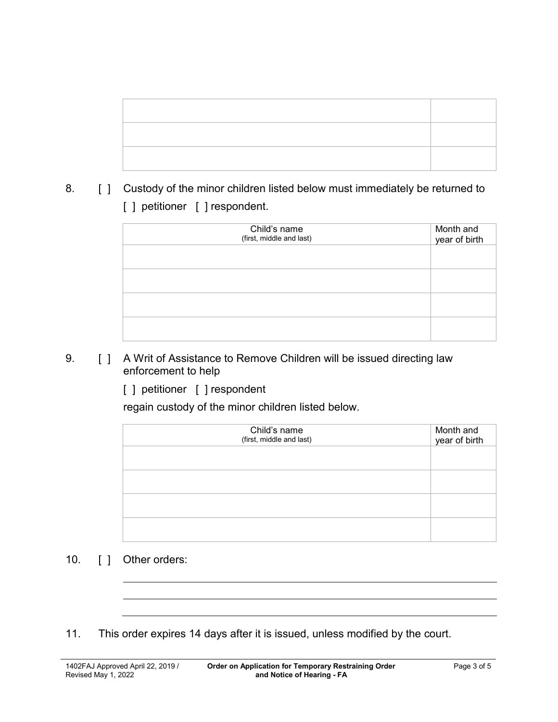8. [ ] Custody of the minor children listed below must immediately be returned to [ ] petitioner [ ] respondent.

| Child's name<br>(first, middle and last) | Month and<br>year of birth |
|------------------------------------------|----------------------------|
|                                          |                            |
|                                          |                            |

- 9. **[ ] A Writ of Assistance to Remove Children will be issued directing law** enforcement to help
	- [ ] petitioner [ ] respondent

regain custody of the minor children listed below.

| Child's name<br>(first, middle and last) | Month and<br>year of birth |
|------------------------------------------|----------------------------|
|                                          |                            |
|                                          |                            |
|                                          |                            |
|                                          |                            |

- 10. [ ] Other orders:
- 11. This order expires 14 days after it is issued, unless modified by the court.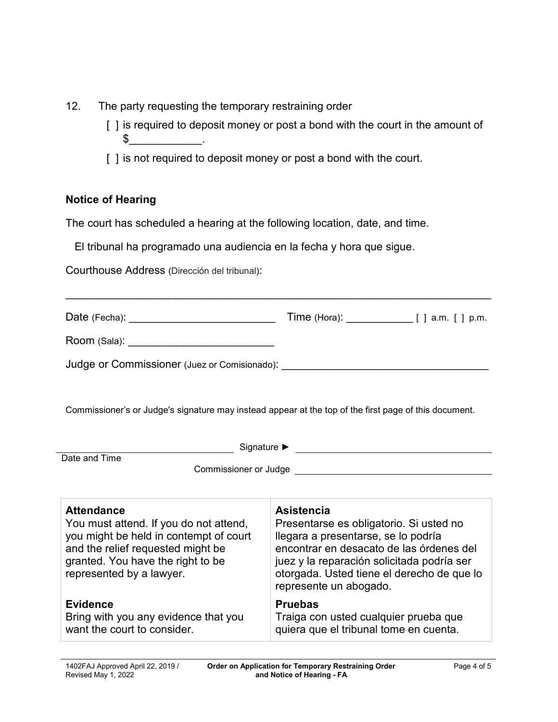- 12. The party requesting the temporary restraining order
	- [ ] is required to deposit money or post a bond with the court in the amount of  $\frac{1}{2}$
	- [ ] is not required to deposit money or post a bond with the court.

## **Notice of Hearing**

The court has scheduled a hearing at the following location, date, and time.

El tribunal ha programado una audiencia en la fecha y hora que sigue.

Courthouse Address (Dirección del tribunal):

| Date (Fecha): ________________________________                                                                                                                                                              | Time (Hora): $\frac{1}{2}$ [ ] a.m. [ ] p.m.                                                                                                                                                                                                                          |  |
|-------------------------------------------------------------------------------------------------------------------------------------------------------------------------------------------------------------|-----------------------------------------------------------------------------------------------------------------------------------------------------------------------------------------------------------------------------------------------------------------------|--|
| Room (Sala): _______________________________                                                                                                                                                                |                                                                                                                                                                                                                                                                       |  |
|                                                                                                                                                                                                             |                                                                                                                                                                                                                                                                       |  |
| Commissioner's or Judge's signature may instead appear at the top of the first page of this document.                                                                                                       |                                                                                                                                                                                                                                                                       |  |
| Date and Time                                                                                                                                                                                               |                                                                                                                                                                                                                                                                       |  |
|                                                                                                                                                                                                             |                                                                                                                                                                                                                                                                       |  |
| <b>Attendance</b><br>You must attend. If you do not attend,<br>you might be held in contempt of court<br>and the relief requested might be<br>granted. You have the right to be<br>represented by a lawyer. | <b>Asistencia</b><br>Presentarse es obligatorio. Si usted no<br>llegara a presentarse, se lo podría<br>encontrar en desacato de las órdenes del<br>juez y la reparación solicitada podría ser<br>otorgada. Usted tiene el derecho de que lo<br>represente un abogado. |  |
| <b>Evidence</b><br>Bring with you any evidence that you<br>want the court to consider.                                                                                                                      | <b>Pruebas</b><br>Traiga con usted cualquier prueba que<br>quiera que el tribunal tome en cuenta.                                                                                                                                                                     |  |

\_\_\_\_\_\_\_\_\_\_\_\_\_\_\_\_\_\_\_\_\_\_\_\_\_\_\_\_\_\_\_\_\_\_\_\_\_\_\_\_\_\_\_\_\_\_\_\_\_\_\_\_\_\_\_\_\_\_\_\_\_\_\_\_\_\_\_\_\_\_